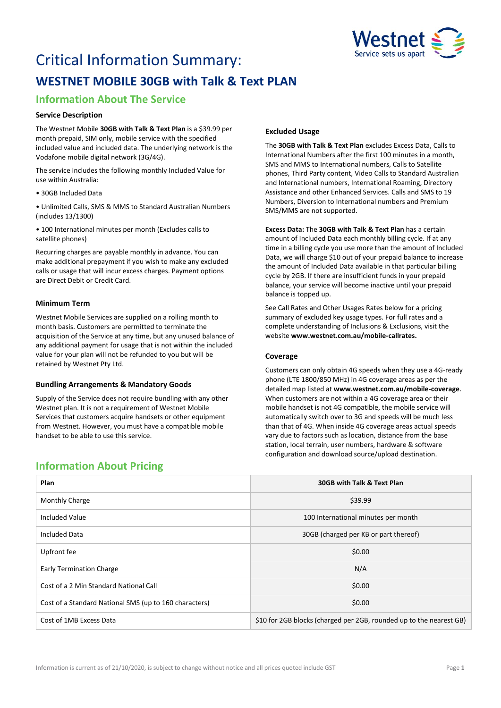

# Critical Information Summary: **WESTNET MOBILE 30GB with Talk & Text PLAN**

# **Information About The Service**

## **Service Description**

The Westnet Mobile **30GB with Talk & Text Plan** is a \$39.99 per month prepaid, SIM only, mobile service with the specified included value and included data. The underlying network is the Vodafone mobile digital network (3G/4G).

The service includes the following monthly Included Value for use within Australia:

• 30GB Included Data

• Unlimited Calls, SMS & MMS to Standard Australian Numbers (includes 13/1300)

• 100 International minutes per month (Excludes calls to satellite phones)

Recurring charges are payable monthly in advance. You can make additional prepayment if you wish to make any excluded calls or usage that will incur excess charges. Payment options are Direct Debit or Credit Card.

### **Minimum Term**

Westnet Mobile Services are supplied on a rolling month to month basis. Customers are permitted to terminate the acquisition of the Service at any time, but any unused balance of any additional payment for usage that is not within the included value for your plan will not be refunded to you but will be retained by Westnet Pty Ltd.

### **Bundling Arrangements & Mandatory Goods**

Supply of the Service does not require bundling with any other Westnet plan. It is not a requirement of Westnet Mobile Services that customers acquire handsets or other equipment from Westnet. However, you must have a compatible mobile handset to be able to use this service.

# **Excluded Usage**

The **30GB with Talk & Text Plan** excludes Excess Data, Calls to International Numbers after the first 100 minutes in a month, SMS and MMS to International numbers, Calls to Satellite phones, Third Party content, Video Calls to Standard Australian and International numbers, International Roaming, Directory Assistance and other Enhanced Services. Calls and SMS to 19 Numbers, Diversion to International numbers and Premium SMS/MMS are not supported.

**Excess Data:** The **30GB with Talk & Text Plan** has a certain amount of Included Data each monthly billing cycle. If at any time in a billing cycle you use more than the amount of Included Data, we will charge \$10 out of your prepaid balance to increase the amount of Included Data available in that particular billing cycle by 2GB. If there are insufficient funds in your prepaid balance, your service will become inactive until your prepaid balance is topped up.

See Call Rates and Other Usages Rates below for a pricing summary of excluded key usage types. For full rates and a complete understanding of Inclusions & Exclusions, visit the website **[www.westnet.com.au/mobile-callrates.](http://www.westnet.com.au/mobile-callrates)**

### **Coverage**

Customers can only obtain 4G speeds when they use a 4G-ready phone (LTE 1800/850 MHz) in 4G coverage areas as per the detailed map listed at **[www.westnet.com.au/mobile-coverage](https://www.westnet.com.au/mobile-coverage)**. When customers are not within a 4G coverage area or their mobile handset is not 4G compatible, the mobile service will automatically switch over to 3G and speeds will be much less than that of 4G. When inside 4G coverage areas actual speeds vary due to factors such as location, distance from the base station, local terrain, user numbers, hardware & software configuration and download source/upload destination.

# **Information About Pricing**

| Plan                                                   | 30GB with Talk & Text Plan                                          |
|--------------------------------------------------------|---------------------------------------------------------------------|
| <b>Monthly Charge</b>                                  | \$39.99                                                             |
| Included Value                                         | 100 International minutes per month                                 |
| Included Data                                          | 30GB (charged per KB or part thereof)                               |
| Upfront fee                                            | \$0.00                                                              |
| <b>Early Termination Charge</b>                        | N/A                                                                 |
| Cost of a 2 Min Standard National Call                 | \$0.00                                                              |
| Cost of a Standard National SMS (up to 160 characters) | \$0.00                                                              |
| Cost of 1MB Excess Data                                | \$10 for 2GB blocks (charged per 2GB, rounded up to the nearest GB) |